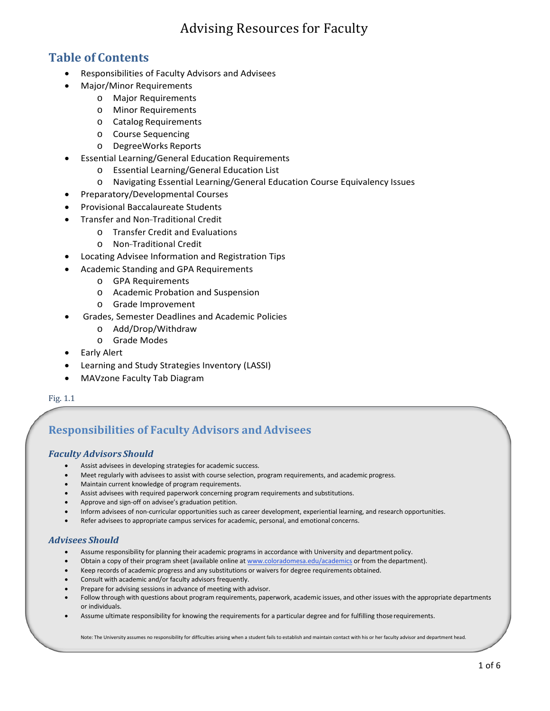## **Table of Contents**

- Responsibilities of Faculty Advisors and Advisees
- Major/Minor Requirements
	- o Major Requirements
	- o Minor Requirements
	- o Catalog Requirements
	- o Course Sequencing
	- o DegreeWorks Reports
- Essential Learning/General Education Requirements
	- o Essential Learning/General Education List
	- o Navigating Essential Learning/General Education Course Equivalency Issues
- Preparatory/Developmental Courses
- Provisional Baccalaureate Students
- Transfer and Non-Traditional Credit
	- o Transfer Credit and Evaluations
	- o Non-Traditional Credit
- Locating Advisee Information and Registration Tips
- Academic Standing and GPA Requirements
	- o GPA Requirements
	- o Academic Probation and Suspension
	- o Grade Improvement
- Grades, Semester Deadlines and Academic Policies
	- o Add/Drop/Withdraw
	- o Grade Modes
- Early Alert
- Learning and Study Strategies Inventory (LASSI)
- MAVzone Faculty Tab Diagram

Fig. 1.1

# **Responsibilities of Faculty Advisors andAdvisees**

#### *Faculty Advisors Should*

- Assist advisees in developing strategies for academic success.
- Meet regularly with advisees to assist with course selection, program requirements, and academic progress.
- Maintain current knowledge of program requirements.
- Assist advisees with required paperwork concerning program requirements and substitutions.
- Approve and sign-off on advisee's graduation petition.
- Inform advisees of non-curricular opportunities such as career development, experiential learning, and research opportunities.
- Refer advisees to appropriate campus services for academic, personal, and emotional concerns.

## *Advisees Should*

- Assume responsibility for planning their academic programs in accordance with University and department policy.
- Obtain a copy of their program sheet (available online at [www.coloradomesa.edu/academics](http://www.coloradomesa.edu/academics) or from the department).
- Keep records of academic progress and any substitutions or waivers for degree requirements obtained.
- Consult with academic and/or faculty advisors frequently.
- Prepare for advising sessions in advance of meeting with advisor.
- Follow through with questions about program requirements, paperwork, academic issues, and other issues with the appropriate departments or individuals.
- Assume ultimate responsibility for knowing the requirements for a particular degree and for fulfilling those requirements.

Note: The University assumes no responsibility for difficulties arising when a student fails to establish and maintain contact with his or her faculty advisor and department head.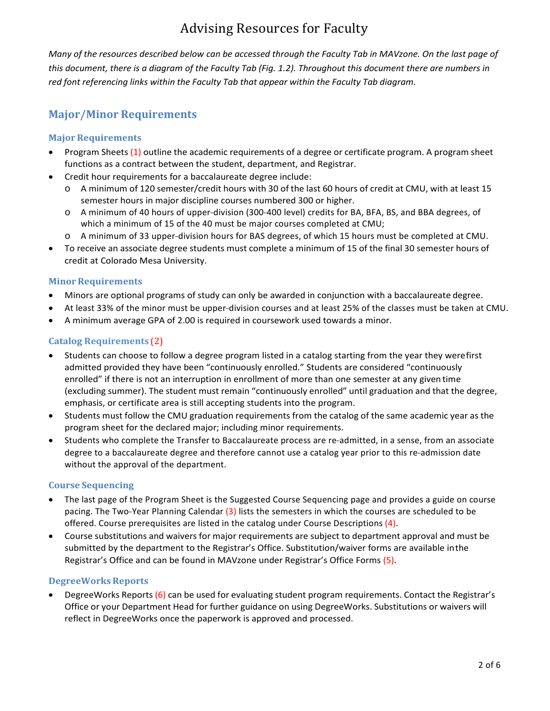Many of the resources described below can be accessed through the Faculty Tab in MAVzone. On the last page of this document, there is a diagram of the Faculty Tab (Fig. 1.2). Throughout this document there are numbers in *red font referencing links within the Faculty Tab that appear within the Faculty Tab diagram.*

## **Major/Minor Requirements**

## **Major Requirements**

- Program Sheets (1) outline the academic requirements of a degree or certificate program. A program sheet functions as a contract between the student, department, and Registrar.
- Credit hour requirements for a baccalaureate degree include:
	- A minimum of 120 semester/credit hours with 30 of the last 60 hours of credit at CMU, with at least 15 semester hours in major discipline courses numbered 300 or higher.
	- o A minimum of 40 hours of upper-division (300-400 level) credits for BA, BFA, BS, and BBA degrees, of which a minimum of 15 of the 40 must be major courses completed at CMU;
	- o A minimum of 33 upper-division hours for BAS degrees, of which 15 hours must be completed at CMU.
- To receive an associate degree students must complete a minimum of 15 of the final 30 semester hours of credit at Colorado Mesa University.

#### **Minor Requirements**

- Minors are optional programs of study can only be awarded in conjunction with a baccalaureate degree.
- At least 33% of the minor must be upper-division courses and at least 25% of the classes must be taken at CMU.
- A minimum average GPA of 2.00 is required in coursework used towards a minor.

## **Catalog Requirements** (2)

- Students can choose to follow a degree program listed in a catalog starting from the year they werefirst admitted provided they have been "continuously enrolled." Students are considered "continuously enrolled" if there is not an interruption in enrollment of more than one semester at any given time (excluding summer). The student must remain "continuously enrolled" until graduation and that the degree, emphasis, or certificate area is still accepting students into the program.
- Students must follow the CMU graduation requirements from the catalog of the same academic year as the program sheet for the declared major; including minor requirements.
- Students who complete the Transfer to Baccalaureate process are re-admitted, in a sense, from an associate degree to a baccalaureate degree and therefore cannot use a catalog year prior to this re-admission date without the approval of the department.

#### **Course Sequencing**

- The last page of the Program Sheet is the Suggested Course Sequencing page and provides a guide on course pacing. The Two-Year Planning Calendar  $(3)$  lists the semesters in which the courses are scheduled to be offered. Course prerequisites are listed in the catalog under Course Descriptions (4).
- Course substitutions and waivers for major requirements are subject to department approval and must be submitted by the department to the Registrar's Office. Substitution/waiver forms are available inthe Registrar's Office and can be found in MAVzone under Registrar's Office Forms (5).

#### **DegreeWorks Reports**

• DegreeWorks Reports (6) can be used for evaluating student program requirements. Contact the Registrar's Office or your Department Head for further guidance on using DegreeWorks. Substitutions or waivers will reflect in DegreeWorks once the paperwork is approved and processed.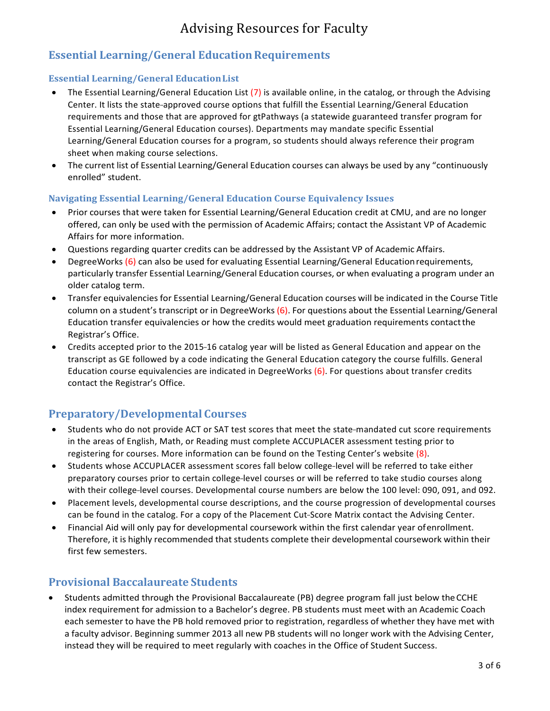## **Essential Learning/General EducationRequirements**

## **Essential Learning/General EducationList**

- The Essential Learning/General Education List  $(7)$  is available online, in the catalog, or through the Advising Center. It lists the state-approved course options that fulfill the Essential Learning/General Education requirements and those that are approved for gtPathways (a statewide guaranteed transfer program for Essential Learning/General Education courses). Departments may mandate specific Essential Learning/General Education courses for a program, so students should always reference their program sheet when making course selections.
- The current list of Essential Learning/General Education courses can always be used by any "continuously enrolled" student.

## **Navigating Essential Learning/General Education Course Equivalency Issues**

- Prior courses that were taken for Essential Learning/General Education credit at CMU, and are no longer offered, can only be used with the permission of Academic Affairs; contact the Assistant VP of Academic Affairs for more information.
- Questions regarding quarter credits can be addressed by the Assistant VP of Academic Affairs.
- DegreeWorks (6) can also be used for evaluating Essential Learning/General Educationrequirements, particularly transfer Essential Learning/General Education courses, or when evaluating a program under an older catalog term.
- Transfer equivalencies for Essential Learning/General Education courses will be indicated in the Course Title column on a student's transcript or in DegreeWorks (6). For questions about the Essential Learning/General Education transfer equivalencies or how the credits would meet graduation requirements contactthe Registrar's Office.
- Credits accepted prior to the 2015-16 catalog year will be listed as General Education and appear on the transcript as GE followed by a code indicating the General Education category the course fulfills. General Education course equivalencies are indicated in DegreeWorks (6). For questions about transfer credits contact the Registrar's Office.

## **Preparatory/Developmental Courses**

- Students who do not provide ACT or SAT test scores that meet the state-mandated cut score requirements in the areas of English, Math, or Reading must complete ACCUPLACER assessment testing prior to registering for courses. More information can be found on the Testing Center's website (8).
- Students whose ACCUPLACER assessment scores fall below college-level will be referred to take either preparatory courses prior to certain college-level courses or will be referred to take studio courses along with their college-level courses. Developmental course numbers are below the 100 level: 090, 091, and 092.
- Placement levels, developmental course descriptions, and the course progression of developmental courses can be found in the catalog. For a copy of the Placement Cut-Score Matrix contact the Advising Center.
- Financial Aid will only pay for developmental coursework within the first calendar year ofenrollment. Therefore, it is highly recommended that students complete their developmental coursework within their first few semesters.

## **Provisional Baccalaureate Students**

• Students admitted through the Provisional Baccalaureate (PB) degree program fall just below theCCHE index requirement for admission to a Bachelor's degree. PB students must meet with an Academic Coach each semester to have the PB hold removed prior to registration, regardless of whether they have met with a faculty advisor. Beginning summer 2013 all new PB students will no longer work with the Advising Center, instead they will be required to meet regularly with coaches in the Office of Student Success.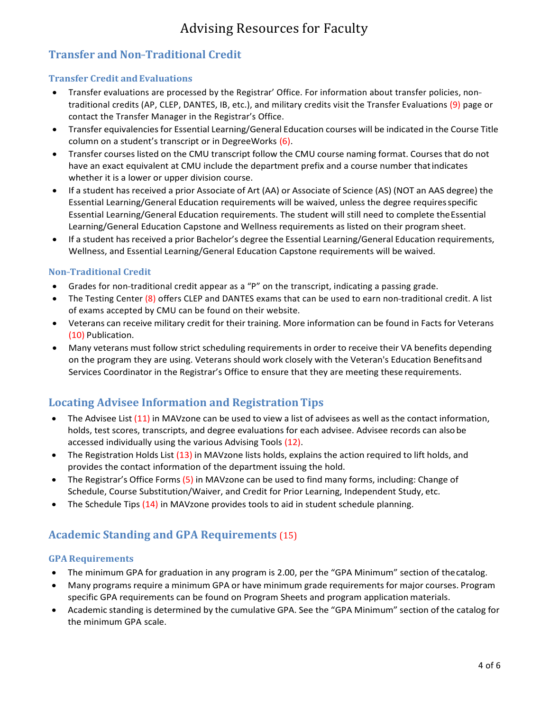## **Transfer and Non---Traditional Credit**

## **Transfer Credit andEvaluations**

- Transfer evaluations are processed by the Registrar' Office. For information about transfer policies, non-traditional credits (AP, CLEP, DANTES, IB, etc.), and military credits visit the Transfer Evaluations (9) page or contact the Transfer Manager in the Registrar's Office.
- Transfer equivalencies for Essential Learning/General Education courses will be indicated in the Course Title column on a student's transcript or in DegreeWorks (6).
- Transfer courses listed on the CMU transcript follow the CMU course naming format. Courses that do not have an exact equivalent at CMU include the department prefix and a course number thatindicates whether it is a lower or upper division course.
- If a student has received a prior Associate of Art (AA) or Associate of Science (AS) (NOT an AAS degree) the Essential Learning/General Education requirements will be waived, unless the degree requiresspecific Essential Learning/General Education requirements. The student will still need to complete theEssential Learning/General Education Capstone and Wellness requirements as listed on their program sheet.
- If a student has received a prior Bachelor's degree the Essential Learning/General Education requirements, Wellness, and Essential Learning/General Education Capstone requirements will be waived.

## **Non-Traditional Credit**

- Grades for non-traditional credit appear as a "P" on the transcript, indicating a passing grade.
- The Testing Center  $(8)$  offers CLEP and DANTES exams that can be used to earn non-traditional credit. A list of exams accepted by CMU can be found on their website.
- Veterans can receive military credit for their training. More information can be found in Facts for Veterans (10) Publication.
- Many veterans must follow strict scheduling requirements in order to receive their VA benefits depending on the program they are using. Veterans should work closely with the Veteran's Education Benefitsand Services Coordinator in the Registrar's Office to ensure that they are meeting these requirements.

## **Locating Advisee Information and RegistrationTips**

- The Advisee List (11) in MAVzone can be used to view a list of advisees as well as the contact information, holds, test scores, transcripts, and degree evaluations for each advisee. Advisee records can alsobe accessed individually using the various Advising Tools (12).
- The Registration Holds List (13) in MAVzone lists holds, explains the action required to lift holds, and provides the contact information of the department issuing the hold.
- The Registrar's Office Forms (5) in MAVzone can be used to find many forms, including: Change of Schedule, Course Substitution/Waiver, and Credit for Prior Learning, Independent Study, etc.
- The Schedule Tips (14) in MAVzone provides tools to aid in student schedule planning.

## **Academic Standing and GPA Requirements** (15)

#### **GPA Requirements**

- The minimum GPA for graduation in any program is 2.00, per the "GPA Minimum" section of the catalog.
- Many programs require a minimum GPA or have minimum grade requirements for major courses. Program specific GPA requirements can be found on Program Sheets and program application materials.
- Academic standing is determined by the cumulative GPA. See the "GPA Minimum" section of the catalog for the minimum GPA scale.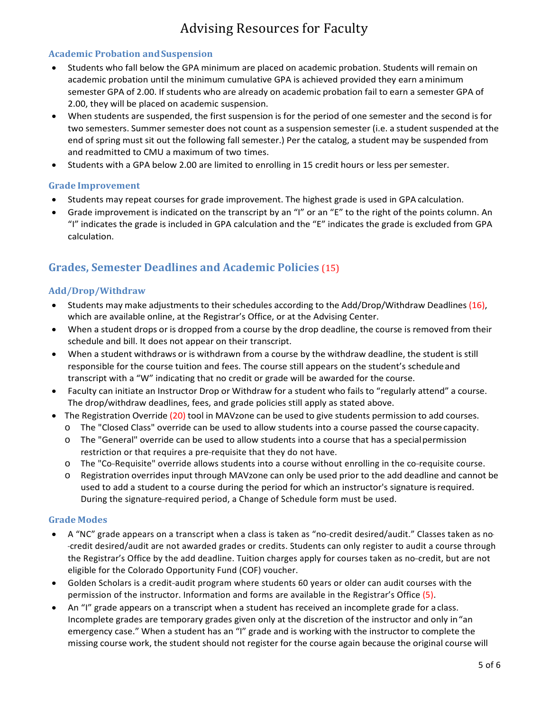## **Academic Probation andSuspension**

- Students who fall below the GPA minimum are placed on academic probation. Students will remain on academic probation until the minimum cumulative GPA is achieved provided they earn aminimum semester GPA of 2.00. If students who are already on academic probation fail to earn a semester GPA of 2.00, they will be placed on academic suspension.
- When students are suspended, the first suspension is for the period of one semester and the second is for two semesters. Summer semester does not count as a suspension semester (i.e. a student suspended at the end of spring must sit out the following fall semester.) Per the catalog, a student may be suspended from and readmitted to CMU a maximum of two times.
- Students with a GPA below 2.00 are limited to enrolling in 15 credit hours or less persemester.

## **Grade Improvement**

- Students may repeat courses for grade improvement. The highest grade is used in GPA calculation.
- Grade improvement is indicated on the transcript by an "I" or an "E" to the right of the points column. An "I" indicates the grade is included in GPA calculation and the "E" indicates the grade is excluded from GPA calculation.

## **Grades, Semester Deadlines and Academic Policies** (15)

## **Add/Drop/Withdraw**

- Students may make adjustments to their schedules according to the Add/Drop/Withdraw Deadlines (16), which are available online, at the Registrar's Office, or at the Advising Center.
- When a student drops or is dropped from a course by the drop deadline, the course is removed from their schedule and bill. It does not appear on their transcript.
- When a student withdraws or is withdrawn from a course by the withdraw deadline, the student is still responsible for the course tuition and fees. The course still appears on the student's scheduleand transcript with a "W" indicating that no credit or grade will be awarded for the course.
- Faculty can initiate an Instructor Drop or Withdraw for a student who fails to "regularly attend" a course. The drop/withdraw deadlines, fees, and grade policies still apply as stated above.
- The Registration Override (20) tool in MAVzone can be used to give students permission to add courses.
	- o The "Closed Class" override can be used to allow students into a course passed the course capacity.
	- o The "General" override can be used to allow students into a course that has a specialpermission restriction or that requires a pre-requisite that they do not have.
	- $\circ$  The "Co-Requisite" override allows students into a course without enrolling in the co-requisite course.
	- o Registration overrides input through MAVzone can only be used prior to the add deadline and cannot be used to add a student to a course during the period for which an instructor's signature isrequired. During the signature-required period, a Change of Schedule form must be used.

#### **Grade Modes**

- A "NC" grade appears on a transcript when a class is taken as "no-credit desired/audit." Classes taken as no---credit desired/audit are not awarded grades or credits. Students can only register to audit a course through the Registrar's Office by the add deadline. Tuition charges apply for courses taken as no-credit, but are not eligible for the Colorado Opportunity Fund (COF) voucher.
- Golden Scholars is a credit-audit program where students 60 years or older can audit courses with the permission of the instructor. Information and forms are available in the Registrar's Office (5).
- An "I" grade appears on a transcript when a student has received an incomplete grade for a class. Incomplete grades are temporary grades given only at the discretion of the instructor and only in"an emergency case." When a student has an "I" grade and is working with the instructor to complete the missing course work, the student should not register for the course again because the original course will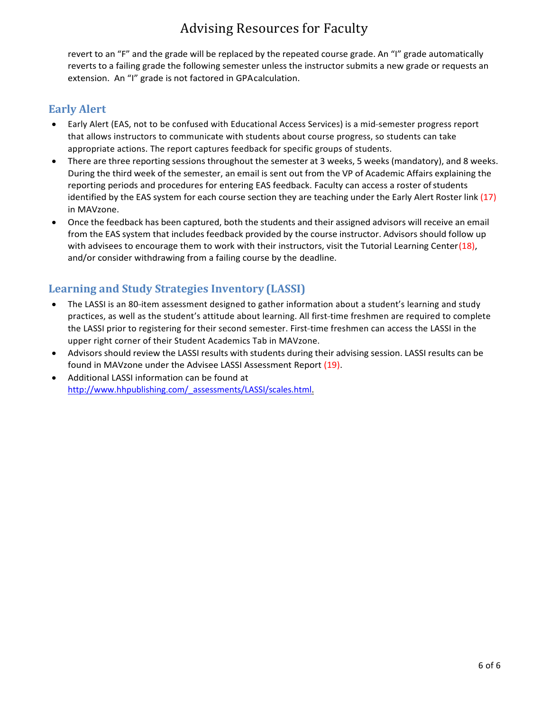revert to an "F" and the grade will be replaced by the repeated course grade. An "I" grade automatically reverts to a failing grade the following semester unless the instructor submits a new grade or requests an extension. An "I" grade is not factored in GPAcalculation.

## **Early Alert**

- Early Alert (EAS, not to be confused with Educational Access Services) is a mid-semester progress report that allows instructors to communicate with students about course progress, so students can take appropriate actions. The report captures feedback for specific groups of students.
- There are three reporting sessions throughout the semester at 3 weeks, 5 weeks (mandatory), and 8 weeks. During the third week of the semester, an email is sent out from the VP of Academic Affairs explaining the reporting periods and procedures for entering EAS feedback. Faculty can access a roster of students identified by the EAS system for each course section they are teaching under the Early Alert Roster link (17) in MAVzone.
- Once the feedback has been captured, both the students and their assigned advisors will receive an email from the EAS system that includes feedback provided by the course instructor. Advisors should follow up with advisees to encourage them to work with their instructors, visit the Tutorial Learning Center(18), and/or consider withdrawing from a failing course by the deadline.

## **Learning and Study Strategies Inventory (LASSI)**

- The LASSI is an 80-item assessment designed to gather information about a student's learning and study practices, as well as the student's attitude about learning. All first-time freshmen are required to complete the LASSI prior to registering for their second semester. First-time freshmen can access the LASSI in the upper right corner of their Student Academics Tab in MAVzone.
- Advisors should review the LASSI results with students during their advising session. LASSI results can be found in MAVzone under the Advisee LASSI Assessment Report (19).
- Additional LASSI information can be found at [http://www.hhpublishing.com/\\_assessments/LASSI/scales.html.](http://www.hhpublishing.com/_assessments/LASSI/scales.html)